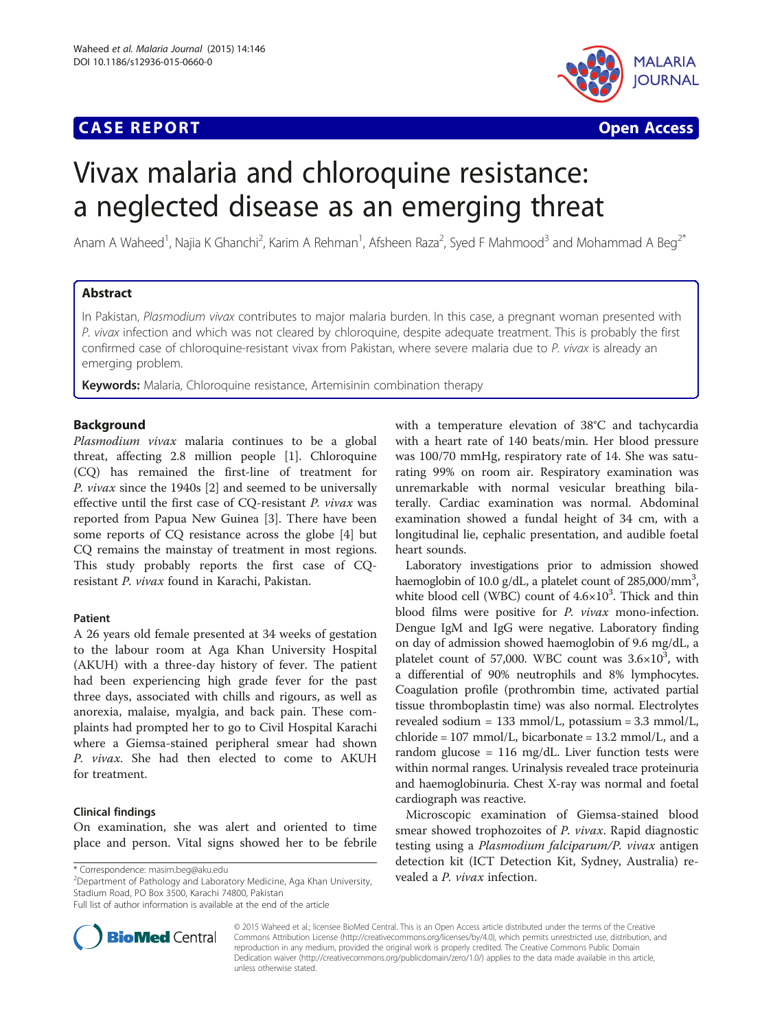# **CASE REPORT CASE ACCESS**



# Vivax malaria and chloroquine resistance: a neglected disease as an emerging threat

Anam A Waheed<sup>1</sup>, Najia K Ghanchi<sup>2</sup>, Karim A Rehman<sup>1</sup>, Afsheen Raza<sup>2</sup>, Syed F Mahmood<sup>3</sup> and Mohammad A Beg<sup>2\*</sup>

# Abstract

In Pakistan, Plasmodium vivax contributes to major malaria burden. In this case, a pregnant woman presented with P. vivax infection and which was not cleared by chloroquine, despite adequate treatment. This is probably the first confirmed case of chloroquine-resistant vivax from Pakistan, where severe malaria due to P. vivax is already an emerging problem.

Keywords: Malaria, Chloroquine resistance, Artemisinin combination therapy

# Background

Plasmodium vivax malaria continues to be a global threat, affecting 2.8 million people [\[1](#page-2-0)]. Chloroquine (CQ) has remained the first-line of treatment for P. vivax since the 1940s [[2\]](#page-2-0) and seemed to be universally effective until the first case of CQ-resistant P. vivax was reported from Papua New Guinea [[3\]](#page-2-0). There have been some reports of CQ resistance across the globe [[4\]](#page-2-0) but CQ remains the mainstay of treatment in most regions. This study probably reports the first case of CQresistant P. vivax found in Karachi, Pakistan.

# Patient

A 26 years old female presented at 34 weeks of gestation to the labour room at Aga Khan University Hospital (AKUH) with a three-day history of fever. The patient had been experiencing high grade fever for the past three days, associated with chills and rigours, as well as anorexia, malaise, myalgia, and back pain. These complaints had prompted her to go to Civil Hospital Karachi where a Giemsa-stained peripheral smear had shown P. vivax. She had then elected to come to AKUH for treatment.

#### Clinical findings

On examination, she was alert and oriented to time place and person. Vital signs showed her to be febrile

\* Correspondence: [masim.beg@aku.edu](mailto:masim.beg@aku.edu)<br>
<sup>2</sup>Department of Pathology and Laboratory Medicine, Aga Khan University, **vealed a** *P. vivax* **infection.** Stadium Road, PO Box 3500, Karachi 74800, Pakistan

Full list of author information is available at the end of the article



with a temperature elevation of 38°C and tachycardia with a heart rate of 140 beats/min. Her blood pressure was 100/70 mmHg, respiratory rate of 14. She was saturating 99% on room air. Respiratory examination was unremarkable with normal vesicular breathing bilaterally. Cardiac examination was normal. Abdominal examination showed a fundal height of 34 cm, with a longitudinal lie, cephalic presentation, and audible foetal heart sounds.

Laboratory investigations prior to admission showed haemoglobin of 10.0 g/dL, a platelet count of 285,000/mm<sup>3</sup>, white blood cell (WBC) count of  $4.6 \times 10^3$ . Thick and thin blood films were positive for P. vivax mono-infection. Dengue IgM and IgG were negative. Laboratory finding on day of admission showed haemoglobin of 9.6 mg/dL, a platelet count of 57,000. WBC count was  $3.6 \times 10^3$ , with a differential of 90% neutrophils and 8% lymphocytes. Coagulation profile (prothrombin time, activated partial tissue thromboplastin time) was also normal. Electrolytes revealed sodium = 133 mmol/L, potassium = 3.3 mmol/L, chloride =  $107 \text{ mmol/L}$ , bicarbonate =  $13.2 \text{ mmol/L}$ , and a random glucose = 116 mg/dL. Liver function tests were within normal ranges. Urinalysis revealed trace proteinuria and haemoglobinuria. Chest X-ray was normal and foetal cardiograph was reactive.

Microscopic examination of Giemsa-stained blood smear showed trophozoites of P. vivax. Rapid diagnostic testing using a Plasmodium falciparum/P. vivax antigen detection kit (ICT Detection Kit, Sydney, Australia) re-

© 2015 Waheed et al.; licensee BioMed Central. This is an Open Access article distributed under the terms of the Creative Commons Attribution License [\(http://creativecommons.org/licenses/by/4.0\)](http://creativecommons.org/licenses/by/4.0), which permits unrestricted use, distribution, and reproduction in any medium, provided the original work is properly credited. The Creative Commons Public Domain Dedication waiver [\(http://creativecommons.org/publicdomain/zero/1.0/](http://creativecommons.org/publicdomain/zero/1.0/)) applies to the data made available in this article, unless otherwise stated.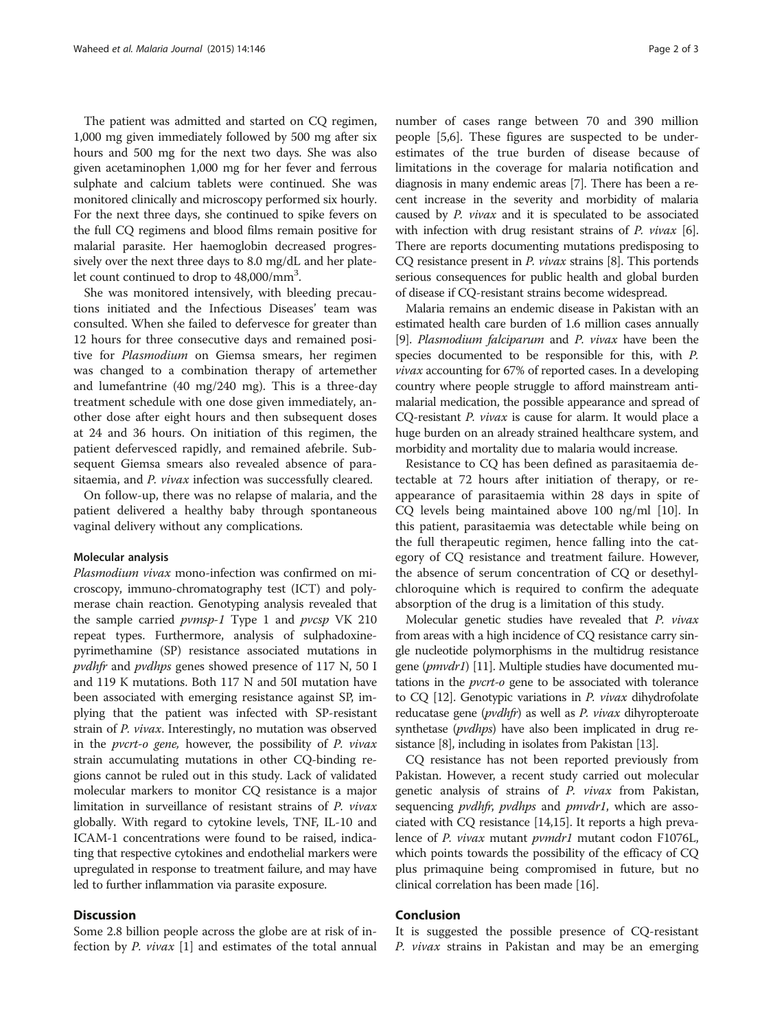The patient was admitted and started on CQ regimen, 1,000 mg given immediately followed by 500 mg after six hours and 500 mg for the next two days. She was also given acetaminophen 1,000 mg for her fever and ferrous sulphate and calcium tablets were continued. She was monitored clinically and microscopy performed six hourly. For the next three days, she continued to spike fevers on the full CQ regimens and blood films remain positive for malarial parasite. Her haemoglobin decreased progressively over the next three days to 8.0 mg/dL and her platelet count continued to drop to 48,000/mm<sup>3</sup>.

She was monitored intensively, with bleeding precautions initiated and the Infectious Diseases' team was consulted. When she failed to defervesce for greater than 12 hours for three consecutive days and remained positive for Plasmodium on Giemsa smears, her regimen was changed to a combination therapy of artemether and lumefantrine (40 mg/240 mg). This is a three-day treatment schedule with one dose given immediately, another dose after eight hours and then subsequent doses at 24 and 36 hours. On initiation of this regimen, the patient defervesced rapidly, and remained afebrile. Subsequent Giemsa smears also revealed absence of parasitaemia, and P. vivax infection was successfully cleared.

On follow-up, there was no relapse of malaria, and the patient delivered a healthy baby through spontaneous vaginal delivery without any complications.

#### Molecular analysis

Plasmodium vivax mono-infection was confirmed on microscopy, immuno-chromatography test (ICT) and polymerase chain reaction. Genotyping analysis revealed that the sample carried *pvmsp-1* Type 1 and *pvcsp* VK 210 repeat types. Furthermore, analysis of sulphadoxinepyrimethamine (SP) resistance associated mutations in pvdhfr and pvdhps genes showed presence of 117 N, 50 I and 119 K mutations. Both 117 N and 50I mutation have been associated with emerging resistance against SP, implying that the patient was infected with SP-resistant strain of P. vivax. Interestingly, no mutation was observed in the pvcrt-o gene, however, the possibility of P. vivax strain accumulating mutations in other CQ-binding regions cannot be ruled out in this study. Lack of validated molecular markers to monitor CQ resistance is a major limitation in surveillance of resistant strains of P. vivax globally. With regard to cytokine levels, TNF, IL-10 and ICAM-1 concentrations were found to be raised, indicating that respective cytokines and endothelial markers were upregulated in response to treatment failure, and may have led to further inflammation via parasite exposure.

#### **Discussion**

Some 2.8 billion people across the globe are at risk of infection by  $P.$  vivax [\[1](#page-2-0)] and estimates of the total annual

number of cases range between 70 and 390 million people [\[5](#page-2-0),[6](#page-2-0)]. These figures are suspected to be underestimates of the true burden of disease because of limitations in the coverage for malaria notification and diagnosis in many endemic areas [\[7](#page-2-0)]. There has been a recent increase in the severity and morbidity of malaria caused by P. vivax and it is speculated to be associated with infection with drug resistant strains of P. vivax [[6](#page-2-0)]. There are reports documenting mutations predisposing to CQ resistance present in P. vivax strains [[8\]](#page-2-0). This portends serious consequences for public health and global burden of disease if CQ-resistant strains become widespread.

Malaria remains an endemic disease in Pakistan with an estimated health care burden of 1.6 million cases annually [[9](#page-2-0)]. Plasmodium falciparum and P. vivax have been the species documented to be responsible for this, with P. vivax accounting for 67% of reported cases. In a developing country where people struggle to afford mainstream antimalarial medication, the possible appearance and spread of CQ-resistant P. vivax is cause for alarm. It would place a huge burden on an already strained healthcare system, and morbidity and mortality due to malaria would increase.

Resistance to CQ has been defined as parasitaemia detectable at 72 hours after initiation of therapy, or reappearance of parasitaemia within 28 days in spite of CQ levels being maintained above 100 ng/ml [[10\]](#page-2-0). In this patient, parasitaemia was detectable while being on the full therapeutic regimen, hence falling into the category of CQ resistance and treatment failure. However, the absence of serum concentration of CQ or desethylchloroquine which is required to confirm the adequate absorption of the drug is a limitation of this study.

Molecular genetic studies have revealed that P. vivax from areas with a high incidence of CQ resistance carry single nucleotide polymorphisms in the multidrug resistance gene (pmvdr1) [\[11\]](#page-2-0). Multiple studies have documented mutations in the pvcrt-o gene to be associated with tolerance to CQ [[12](#page-2-0)]. Genotypic variations in P. vivax dihydrofolate reducatase gene (*pvdhfr*) as well as *P. vivax* dihyropteroate synthetase (*pvdhps*) have also been implicated in drug resistance [[8](#page-2-0)], including in isolates from Pakistan [\[13\]](#page-2-0).

CQ resistance has not been reported previously from Pakistan. However, a recent study carried out molecular genetic analysis of strains of P. vivax from Pakistan, sequencing *pvdhfr*, *pvdhps* and *pmvdr1*, which are associated with CQ resistance [[14,15\]](#page-2-0). It reports a high prevalence of P. vivax mutant pvmdr1 mutant codon F1076L, which points towards the possibility of the efficacy of CQ plus primaquine being compromised in future, but no clinical correlation has been made [[16](#page-2-0)].

#### Conclusion

It is suggested the possible presence of CQ-resistant P. *vivax* strains in Pakistan and may be an emerging